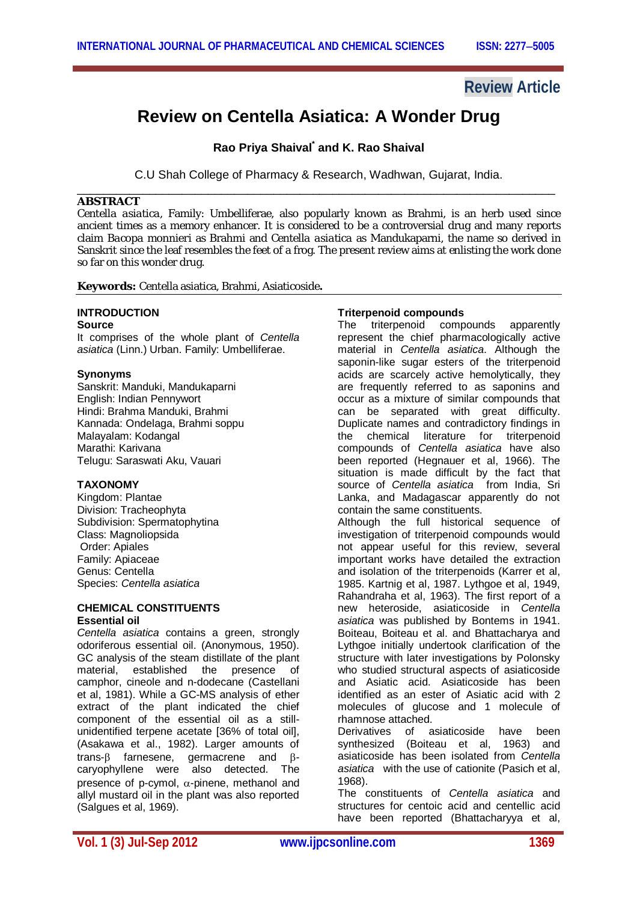## **Review Article**

# **Review on Centella Asiatica: A Wonder Drug**

**Rao Priya Shaival\* and K. Rao Shaival**

C.U Shah College of Pharmacy & Research, Wadhwan, Gujarat, India. \_\_\_\_\_\_\_\_\_\_\_\_\_\_\_\_\_\_\_\_\_\_\_\_\_\_\_\_\_\_\_\_\_\_\_\_\_\_\_\_\_\_\_\_\_\_\_\_\_\_\_\_\_\_\_\_\_\_\_\_\_\_\_\_\_\_\_\_\_\_\_\_\_

#### **ABSTRACT**

*Centella asiatica*, Family: Umbelliferae, also popularly known as Brahmi, is an herb used since ancient times as a memory enhancer. It is considered to be a controversial drug and many reports claim *Bacopa monnieri* as Brahmi and *Centella asiatica* as Mandukaparni, the name so derived in Sanskrit since the leaf resembles the feet of a frog. The present review aims at enlisting the work done so far on this wonder drug.

**Keywords:** Centella asiatica, Brahmi, Asiaticoside**.**

#### **INTRODUCTION Source**

It comprises of the whole plant of *Centella* 

*asiatica* (Linn.) Urban. Family: Umbelliferae.

#### **Synonyms**

Sanskrit: Manduki, Mandukaparni English: Indian Pennywort Hindi: Brahma Manduki, Brahmi Kannada: Ondelaga, Brahmi soppu Malayalam: Kodangal Marathi: Karivana Telugu: Saraswati Aku, Vauari

#### **TAXONOMY**

Kingdom: Plantae Division: Tracheophyta Subdivision: Spermatophytina Class: Magnoliopsida Order: Apiales Family: Apiaceae Genus: Centella Species: *Centella asiatica*

#### **CHEMICAL CONSTITUENTS Essential oil**

*Centella asiatica* contains a green, strongly odoriferous essential oil. (Anonymous, 1950). GC analysis of the steam distillate of the plant material, established the presence of camphor, cineole and n-dodecane (Castellani et al, 1981). While a GC-MS analysis of ether extract of the plant indicated the chief component of the essential oil as a stillunidentified terpene acetate [36% of total oil], (Asakawa et al., 1982). Larger amounts of trans- $\beta$  farnesene, germacrene and  $\beta$ caryophyllene were also detected. The presence of p-cymol,  $\alpha$ -pinene, methanol and allyl mustard oil in the plant was also reported (Salgues et al, 1969).

#### **Triterpenoid compounds**

The triterpenoid compounds apparently represent the chief pharmacologically active material in *Centella asiatica*. Although the saponin-like sugar esters of the triterpenoid acids are scarcely active hemolytically, they are frequently referred to as saponins and occur as a mixture of similar compounds that can be separated with great difficulty. Duplicate names and contradictory findings in the chemical literature for triterpenoid compounds of *Centella asiatica* have also been reported (Hegnauer et al, 1966). The situation is made difficult by the fact that source of *Centella asiatica* from India, Sri Lanka, and Madagascar apparently do not contain the same constituents.

Although the full historical sequence of investigation of triterpenoid compounds would not appear useful for this review, several important works have detailed the extraction and isolation of the triterpenoids (Karrer et al, 1985. Kartnig et al, 1987. Lythgoe et al, 1949, Rahandraha et al, 1963). The first report of a new heteroside, asiaticoside in *Centella asiatica* was published by Bontems in 1941. Boiteau, Boiteau et al. and Bhattacharya and Lythgoe initially undertook clarification of the structure with later investigations by Polonsky who studied structural aspects of asiaticoside and Asiatic acid. Asiaticoside has been identified as an ester of Asiatic acid with 2 molecules of glucose and 1 molecule of rhamnose attached.

Derivatives of asiaticoside have been synthesized (Boiteau et al, 1963) and asiaticoside has been isolated from *Centella asiatica* with the use of cationite (Pasich et al, 1968).

The constituents of *Centella asiatica* and structures for centoic acid and centellic acid have been reported (Bhattacharyya et al,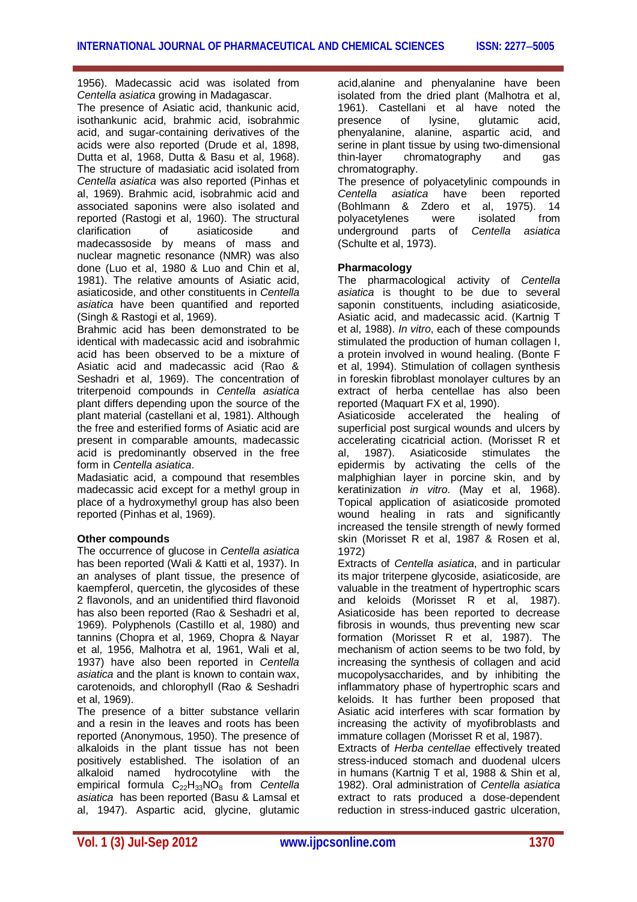1956). Madecassic acid was isolated from *Centella asiatica* growing in Madagascar.

The presence of Asiatic acid, thankunic acid, isothankunic acid, brahmic acid, isobrahmic acid, and sugar-containing derivatives of the acids were also reported (Drude et al, 1898, Dutta et al, 1968, Dutta & Basu et al, 1968). The structure of madasiatic acid isolated from *Centella asiatica* was also reported (Pinhas et al, 1969). Brahmic acid, isobrahmic acid and associated saponins were also isolated and reported (Rastogi et al, 1960). The structural clarification of asiaticoside and madecassoside by means of mass and nuclear magnetic resonance (NMR) was also done (Luo et al, 1980 & Luo and Chin et al, 1981). The relative amounts of Asiatic acid, asiaticoside, and other constituents in *Centella asiatica* have been quantified and reported (Singh & Rastogi et al, 1969).

Brahmic acid has been demonstrated to be identical with madecassic acid and isobrahmic acid has been observed to be a mixture of Asiatic acid and madecassic acid (Rao & Seshadri et al, 1969). The concentration of triterpenoid compounds in *Centella asiatica*  plant differs depending upon the source of the plant material (castellani et al, 1981). Although the free and esterified forms of Asiatic acid are present in comparable amounts, madecassic acid is predominantly observed in the free form in *Centella asiatica*.

Madasiatic acid, a compound that resembles madecassic acid except for a methyl group in place of a hydroxymethyl group has also been reported (Pinhas et al, 1969).

#### **Other compounds**

The occurrence of glucose in *Centella asiatica*  has been reported (Wali & Katti et al, 1937). In an analyses of plant tissue, the presence of kaempferol, quercetin, the glycosides of these 2 flavonols, and an unidentified third flavonoid has also been reported (Rao & Seshadri et al, 1969). Polyphenols (Castillo et al, 1980) and tannins (Chopra et al, 1969, Chopra & Nayar et al, 1956, Malhotra et al, 1961, Wali et al, 1937) have also been reported in *Centella asiatica* and the plant is known to contain wax, carotenoids, and chlorophyll (Rao & Seshadri et al, 1969).

The presence of a bitter substance vellarin and a resin in the leaves and roots has been reported (Anonymous, 1950). The presence of alkaloids in the plant tissue has not been positively established. The isolation of an alkaloid named hydrocotyline with the empirical formula C<sub>22</sub>H<sub>33</sub>NO<sub>8</sub> from *Centella asiatica* has been reported (Basu & Lamsal et al, 1947). Aspartic acid, glycine, glutamic

acid,alanine and phenyalanine have been isolated from the dried plant (Malhotra et al, 1961). Castellani et al have noted the presence of lysine, glutamic acid, phenyalanine, alanine, aspartic acid, and serine in plant tissue by using two-dimensional<br>thin-laver chromatography and gas chromatography and gas chromatography.

The presence of polyacetylinic compounds in<br>Centella asiatica have been reported have been reported (Bohlmann & Zdero et al, 1975). 14 polyacetylenes were isolated from underground parts of *Centella asiatica* (Schulte et al, 1973).

### **Pharmacology**

The pharmacological activity of *Centella asiatica* is thought to be due to several saponin constituents, including asiaticoside, Asiatic acid, and madecassic acid. (Kartnig T et al, 1988). *In vitro*, each of these compounds stimulated the production of human collagen I, a protein involved in wound healing. (Bonte F et al, 1994). Stimulation of collagen synthesis in foreskin fibroblast monolayer cultures by an extract of herba centellae has also been reported (Maquart FX et al, 1990).

Asiaticoside accelerated the healing of superficial post surgical wounds and ulcers by accelerating cicatricial action. (Morisset R et al, 1987). Asiaticoside stimulates the epidermis by activating the cells of the malphighian layer in porcine skin, and by keratinization *in vitro*. (May et al, 1968). Topical application of asiaticoside promoted wound healing in rats and significantly increased the tensile strength of newly formed skin (Morisset R et al, 1987 & Rosen et al, 1972)

Extracts of *Centella asiatica*, and in particular its major triterpene glycoside, asiaticoside, are valuable in the treatment of hypertrophic scars and keloids (Morisset  $\overline{R}$  et al. 1987). Asiaticoside has been reported to decrease fibrosis in wounds, thus preventing new scar formation (Morisset R et al, 1987). The mechanism of action seems to be two fold, by increasing the synthesis of collagen and acid mucopolysaccharides, and by inhibiting the inflammatory phase of hypertrophic scars and keloids. It has further been proposed that Asiatic acid interferes with scar formation by increasing the activity of myofibroblasts and immature collagen (Morisset R et al, 1987).

Extracts of *Herba centellae* effectively treated stress-induced stomach and duodenal ulcers in humans (Kartnig T et al, 1988 & Shin et al, 1982). Oral administration of *Centella asiatica* extract to rats produced a dose-dependent reduction in stress-induced gastric ulceration,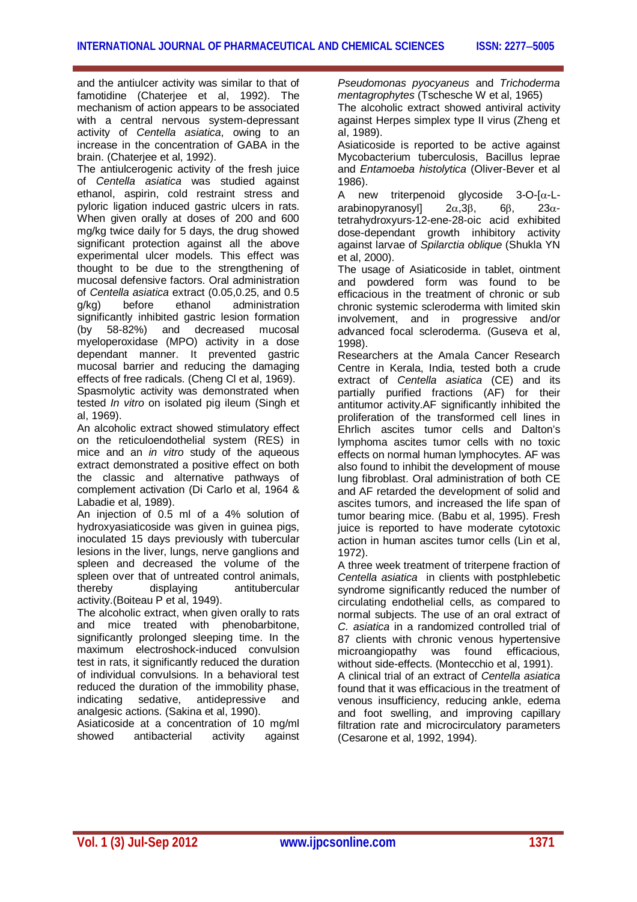and the antiulcer activity was similar to that of famotidine (Chaterjee et al, 1992). The mechanism of action appears to be associated with a central nervous system-depressant activity of *Centella asiatica*, owing to an increase in the concentration of GABA in the brain. (Chaterjee et al, 1992).

The antiulcerogenic activity of the fresh juice of *Centella asiatica* was studied against ethanol, aspirin, cold restraint stress and pyloric ligation induced gastric ulcers in rats. When given orally at doses of 200 and 600 mg/kg twice daily for 5 days, the drug showed significant protection against all the above experimental ulcer models. This effect was thought to be due to the strengthening of mucosal defensive factors. Oral administration of *Centella asiatica* extract (0.05,0.25, and 0.5 g/kg) before ethanol administration significantly inhibited gastric lesion formation (by 58-82%) and decreased mucosal myeloperoxidase (MPO) activity in a dose dependant manner. It prevented gastric mucosal barrier and reducing the damaging effects of free radicals. (Cheng Cl et al, 1969). Spasmolytic activity was demonstrated when

tested *In vitro* on isolated pig ileum (Singh et al, 1969).

An alcoholic extract showed stimulatory effect on the reticuloendothelial system (RES) in mice and an *in vitro* study of the aqueous extract demonstrated a positive effect on both the classic and alternative pathways of complement activation (Di Carlo et al, 1964 & Labadie et al, 1989).

An injection of 0.5 ml of a 4% solution of hydroxyasiaticoside was given in guinea pigs, inoculated 15 days previously with tubercular lesions in the liver, lungs, nerve ganglions and spleen and decreased the volume of the spleen over that of untreated control animals, thereby displaying antitubercular activity.(Boiteau P et al, 1949).

The alcoholic extract, when given orally to rats and mice treated with phenobarbitone, significantly prolonged sleeping time. In the maximum electroshock-induced convulsion test in rats, it significantly reduced the duration of individual convulsions. In a behavioral test reduced the duration of the immobility phase,<br>indicating sedative, antidepressive and indicating sedative, antidepressive and analgesic actions. (Sakina et al, 1990).

Asiaticoside at a concentration of 10 mg/ml showed antibacterial activity against

*Pseudomonas pyocyaneus* and *Trichoderma mentagrophytes* (Tschesche W et al, 1965) The alcoholic extract showed antiviral activity

against Herpes simplex type II virus (Zheng et al, 1989).

Asiaticoside is reported to be active against Mycobacterium tuberculosis, Bacillus leprae and *Entamoeba histolytica* (Oliver-Bever et al 1986).

A new triterpenoid alvcoside  $3$ -O- $\alpha$ -Larabinopyranosyll  $2\alpha.3\beta.$  6 $\beta$ ,  $23\alpha$ tetrahydroxyurs-12-ene-28-oic acid exhibited dose-dependant growth inhibitory activity against larvae of *Spilarctia oblique* (Shukla YN et al, 2000).

The usage of Asiaticoside in tablet, ointment and powdered form was found to be efficacious in the treatment of chronic or sub chronic systemic scleroderma with limited skin involvement, and in progressive and/or advanced focal scleroderma. (Guseva et al, 1998).

Researchers at the Amala Cancer Research Centre in Kerala, India, tested both a crude extract of *Centella asiatica* (CE) and its partially purified fractions (AF) for their antitumor activity.AF significantly inhibited the proliferation of the transformed cell lines in Ehrlich ascites tumor cells and Dalton's lymphoma ascites tumor cells with no toxic effects on normal human lymphocytes. AF was also found to inhibit the development of mouse lung fibroblast. Oral administration of both CE and AF retarded the development of solid and ascites tumors, and increased the life span of tumor bearing mice. (Babu et al, 1995). Fresh juice is reported to have moderate cytotoxic action in human ascites tumor cells (Lin et al, 1972).

A three week treatment of triterpene fraction of *Centella asiatica* in clients with postphlebetic syndrome significantly reduced the number of circulating endothelial cells, as compared to normal subjects. The use of an oral extract of *C. asiatica* in a randomized controlled trial of 87 clients with chronic venous hypertensive<br>microangiopathy was found efficacious. microangiopathy was found efficacious, without side-effects. (Montecchio et al, 1991).

A clinical trial of an extract of *Centella asiatica* found that it was efficacious in the treatment of venous insufficiency, reducing ankle, edema and foot swelling, and improving capillary filtration rate and microcirculatory parameters (Cesarone et al, 1992, 1994).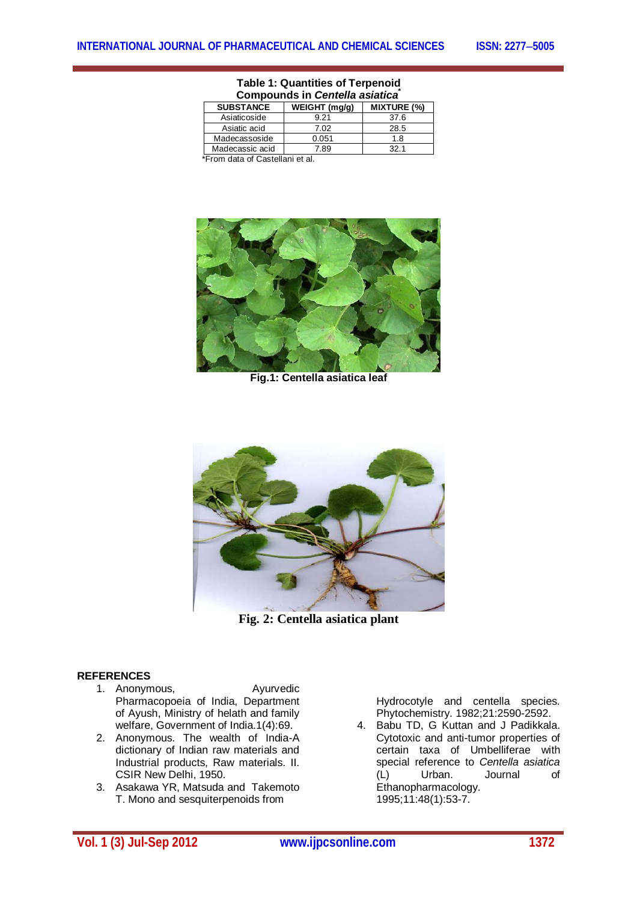| Compounds in <i>Centella asiatica</i> |                  |               |                    |
|---------------------------------------|------------------|---------------|--------------------|
|                                       | <b>SUBSTANCE</b> | WEIGHT (mg/g) | <b>MIXTURE (%)</b> |
|                                       | Asiaticoside     | 9.21          | 37.6               |
|                                       | Asiatic acid     | 7.02          | 28.5               |
|                                       | Madecassoside    | 0.051         | 1.8                |
|                                       | Madecassic acid  | 7.89          | 32.1               |
| $\sim$ $\sim$                         |                  |               |                    |

#### **Table 1: Quantities of Terpenoid Compounds in** *Centella asiatica***\***

\*From data of Castellani et al.



**Fig.1: Centella asiatica leaf**



**Fig. 2: Centella asiatica plant**

#### **REFERENCES**

- 1. Anonymous, **Ayurvedic** Pharmacopoeia of India, Department of Ayush, Ministry of helath and family welfare, Government of India.1(4):69.
- 2. Anonymous. The wealth of India-A dictionary of Indian raw materials and Industrial products, Raw materials. II. CSIR New Delhi, 1950.
- 3. Asakawa YR, Matsuda and Takemoto T. Mono and sesquiterpenoids from

Hydrocotyle and centella species. Phytochemistry. 1982;21:2590-2592.

4. Babu TD, G Kuttan and J Padikkala. Cytotoxic and anti-tumor properties of certain taxa of Umbelliferae with special reference to *Centella asiatica* (L) Urban. Journal of Ethanopharmacology. 1995;11:48(1):53-7.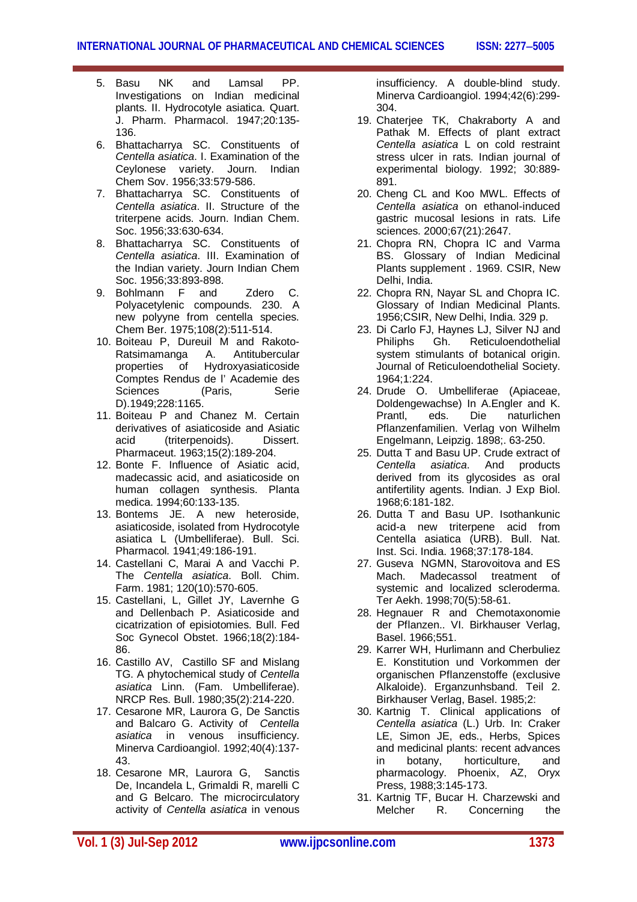- 5. Basu NK and Lamsal PP. Investigations on Indian medicinal plants. II. Hydrocotyle asiatica. Quart. J. Pharm. Pharmacol. 1947;20:135- 136.
- 6. Bhattacharrya SC. Constituents of *Centella asiatica*. I. Examination of the Ceylonese variety. Journ. Indian Chem Sov. 1956;33:579-586.
- 7. Bhattacharrya SC. Constituents of *Centella asiatica*. II. Structure of the triterpene acids. Journ. Indian Chem. Soc. 1956;33:630-634.
- 8. Bhattacharrya SC. Constituents of *Centella asiatica*. III. Examination of the Indian variety. Journ Indian Chem Soc. 1956;33:893-898.
- 9. Bohlmann F and Zdero C. Polyacetylenic compounds. 230. A new polyyne from centella species. Chem Ber. 1975;108(2):511-514.
- 10. Boiteau P, Dureuil M and Rakoto-Ratsimamanga A. Antitubercular properties of Hydroxyasiaticoside Comptes Rendus de l' Academie des Sciences (Paris, Serie D).1949;228:1165.
- 11. Boiteau P and Chanez M. Certain derivatives of asiaticoside and Asiatic<br>acid (triterpenoids). Dissert. (triterpenoids). Pharmaceut. 1963;15(2):189-204.
- 12. Bonte F. Influence of Asiatic acid, madecassic acid, and asiaticoside on human collagen synthesis. Planta medica. 1994;60:133-135.
- 13. Bontems JE. A new heteroside, asiaticoside, isolated from Hydrocotyle asiatica L (Umbelliferae). Bull. Sci. Pharmacol*.* 1941;49:186-191.
- 14. Castellani C, Marai A and Vacchi P. The *Centella asiatica*. Boll. Chim. Farm. 1981; 120(10):570-605.
- 15. Castellani, L, Gillet JY, Lavernhe G and Dellenbach P. Asiaticoside and cicatrization of episiotomies. Bull. Fed Soc Gynecol Obstet. 1966;18(2):184- 86.
- 16. Castillo AV, Castillo SF and Mislang TG. A phytochemical study of *Centella asiatica* Linn. (Fam. Umbelliferae). NRCP Res. Bull. 1980;35(2):214-220.
- 17. Cesarone MR, Laurora G, De Sanctis and Balcaro G. Activity of *Centella asiatica* in venous insufficiency. Minerva Cardioangiol. 1992;40(4):137- 43.
- 18. Cesarone MR, Laurora G, Sanctis De, Incandela L, Grimaldi R, marelli C and G Belcaro. The microcirculatory activity of *Centella asiatica* in venous

insufficiency. A double-blind study. Minerva Cardioangiol. 1994;42(6):299- 304.

- 19. Chaterjee TK, Chakraborty A and Pathak M. Effects of plant extract *Centella asiatica* L on cold restraint stress ulcer in rats. Indian journal of experimental biology. 1992; 30:889- 891.
- 20. Cheng CL and Koo MWL. Effects of *Centella asiatica* on ethanol-induced gastric mucosal lesions in rats. Life sciences. 2000;67(21):2647.
- 21. Chopra RN, Chopra IC and Varma BS. Glossary of Indian Medicinal Plants supplement . 1969. CSIR, New Delhi, India.
- 22. Chopra RN, Nayar SL and Chopra IC. Glossary of Indian Medicinal Plants. 1956;CSIR, New Delhi, India. 329 p.
- 23. Di Carlo FJ, Haynes LJ, Silver NJ and<br>Philiphs Gh Reticuloendothelial Philiphs Gh. Reticuloendothelial system stimulants of botanical origin. Journal of Reticuloendothelial Society. 1964;1:224.
- 24. Drude O. Umbelliferae (Apiaceae, Doldengewachse) In A.Engler and K.<br>Prantl. eds. Die naturlichen naturlichen Pflanzenfamilien. Verlag von Wilhelm Engelmann, Leipzig. 1898;. 63-250.
- 25. Dutta T and Basu UP. Crude extract of *Centella asiatica*. And products derived from its glycosides as oral antifertility agents. Indian. J Exp Biol. 1968;6:181-182.
- 26. Dutta T and Basu UP. Isothankunic acid-a new triterpene acid from Centella asiatica (URB). Bull. Nat. Inst. Sci. India. 1968;37:178-184.
- 27. Guseva NGMN, Starovoitova and ES Mach. Madecassol treatment of systemic and localized scleroderma. Ter Aekh. 1998;70(5):58-61.
- 28. Hegnauer R and Chemotaxonomie der Pflanzen.. VI. Birkhauser Verlag, Basel. 1966;551.
- 29. Karrer WH, Hurlimann and Cherbuliez E. Konstitution und Vorkommen der organischen Pflanzenstoffe (exclusive Alkaloide). Erganzunhsband. Teil 2. Birkhauser Verlag, Basel. 1985;2:
- 30. Kartnig T. Clinical applications of *Centella asiatica* (L.) Urb. In: Craker LE, Simon JE, eds., Herbs, Spices and medicinal plants: recent advances in botany, horticulture, and pharmacology. Phoenix, AZ, Oryx Press, 1988;3:145-173.
- 31. Kartnig TF, Bucar H. Charzewski and Melcher R. Concerning the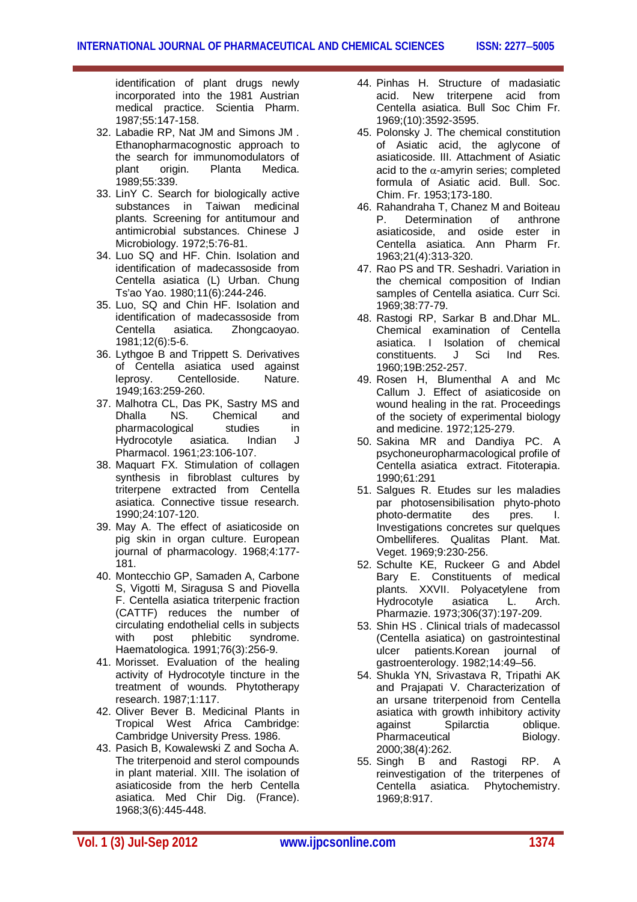identification of plant drugs newly incorporated into the 1981 Austrian medical practice. Scientia Pharm. 1987;55:147-158.

- 32. Labadie RP, Nat JM and Simons JM . Ethanopharmacognostic approach to the search for immunomodulators of<br>plant origin. Planta Medica. Medica. 1989;55:339.
- 33. LinY C. Search for biologically active substances in Taiwan medicinal plants. Screening for antitumour and antimicrobial substances. Chinese J Microbiology. 1972;5:76-81.
- 34. Luo SQ and HF. Chin. Isolation and identification of madecassoside from Centella asiatica (L) Urban. Chung Ts'ao Yao. 1980;11(6):244-246.
- 35. Luo, SQ and Chin HF. Isolation and identification of madecassoside from Centella asiatica. Zhongcaoyao. 1981;12(6):5-6.
- 36. Lythgoe B and Trippett S. Derivatives of Centella asiatica used against leprosy. Centelloside. Nature. 1949;163:259-260.
- 37. Malhotra CL, Das PK, Sastry MS and<br>Dhalla NS. Chemical and NS. Chemical<br>
paical studies pharmacological studies in<br>Hydrocotyle asiatica. Indian J Hydrocotyle asiatica. Indian J Pharmacol. 1961;23:106-107.
- 38. Maquart FX. Stimulation of collagen synthesis in fibroblast cultures by triterpene extracted from Centella asiatica. Connective tissue research. 1990;24:107-120.
- 39. May A. The effect of asiaticoside on pig skin in organ culture. European journal of pharmacology. 1968;4:177- 181.
- 40. Montecchio GP, Samaden A, Carbone S, Vigotti M, Siragusa S and Piovella F. Centella asiatica triterpenic fraction (CATTF) reduces the number of circulating endothelial cells in subjects with post phlebitic syndrome. Haematologica. 1991;76(3):256-9.
- 41. Morisset. Evaluation of the healing activity of Hydrocotyle tincture in the treatment of wounds. Phytotherapy research. 1987;1:117.
- 42. Oliver Bever B. Medicinal Plants in Tropical West Africa Cambridge: Cambridge University Press. 1986.
- 43. Pasich B, Kowalewski Z and Socha A. The triterpenoid and sterol compounds in plant material. XIII. The isolation of asiaticoside from the herb Centella asiatica. Med Chir Dig. (France). 1968;3(6):445-448.
- 44. Pinhas H. Structure of madasiatic acid. New triterpene acid from Centella asiatica. Bull Soc Chim Fr. 1969;(10):3592-3595.
- 45. Polonsky J. The chemical constitution of Asiatic acid, the aglycone of asiaticoside. III. Attachment of Asiatic acid to the  $\alpha$ -amyrin series; completed formula of Asiatic acid. Bull. Soc. Chim. Fr. 1953;173-180.
- 46. Rahandraha T, Chanez M and Boiteau P. Determination of anthrone asiaticoside, and oside ester in Centella asiatica. Ann Pharm Fr. 1963;21(4):313-320.
- 47. Rao PS and TR. Seshadri. Variation in the chemical composition of Indian samples of Centella asiatica. Curr Sci. 1969;38:77-79.
- 48. Rastogi RP, Sarkar B and.Dhar ML. Chemical examination of Centella asiatica. I Isolation of chemical constituents. J Sci Ind Res. 1960;19B:252-257.
- 49. Rosen H, Blumenthal A and Mc Callum J. Effect of asiaticoside on wound healing in the rat. Proceedings of the society of experimental biology and medicine. 1972;125-279.
- 50. Sakina MR and Dandiya PC. A psychoneuropharmacological profile of Centella asiatica extract. Fitoterapia. 1990;61:291
- 51. Salgues R. Etudes sur les maladies par photosensibilisation phyto-photo photo-dermatite des pres. I. Investigations concretes sur quelques Ombelliferes. Qualitas Plant. Mat. Veget. 1969;9:230-256.
- 52. Schulte KE, Ruckeer G and Abdel Bary E. Constituents of medical plants. XXVII. Polyacetylene from Hydrocotyle asiatica L. Arch. Pharmazie. 1973;306(37):197-209.
- 53. Shin HS . Clinical trials of madecassol (Centella asiatica) on gastrointestinal patients.Korean journal of gastroenterology. 1982;14:49–56.
- 54. Shukla YN, Srivastava R, Tripathi AK and Prajapati V. Characterization of an ursane triterpenoid from Centella asiatica with growth inhibitory activity against Spilarctia oblique. Pharmaceutical Biology. 2000;38(4):262.
- 55. Singh B and Rastogi RP. A reinvestigation of the triterpenes of Centella asiatica. Phytochemistry. 1969;8:917.